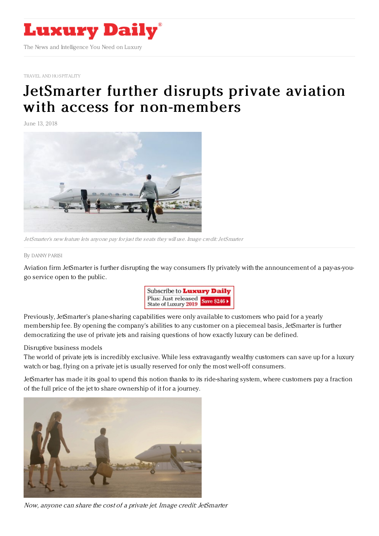

TRAVEL AND [HOSPITALITY](file:///tmp/www.luxurydaily.com/category/travel-and-hospital)

## JetSmarter further disrupts private aviation with access for [non-members](https://www.luxurydaily.com/jetsmarter-further-disrupts-private-aviation-with-access-for-non-members/)

June 13, 2018



JetSmarter's new feature lets anyone pay for just the seats they will use. Image credit:JetSmarter

## By [DANNY](file:///author/danny-parisi) PARISI

Aviation firm JetSmarter is further disrupting the way consumers fly privately with the announcement of a pay-as-yougo service open to the public.



Previously, JetSmarter's plane-sharing capabilities were only available to customers who paid for a yearly membership fee. By opening the company's abilities to any customer on a piecemeal basis, JetSmarter is further democratizing the use of private jets and raising questions of how exactly luxury can be defined.

## Disruptive business models

The world of private jets is incredibly exclusive. While less extravagantly wealthy customers can save up for a luxury watch or bag, flying on a private jet is usually reserved for only the most well-off consumers.

JetSmarter has made it its goal to upend this notion thanks to its ride-sharing system, where customers pay a fraction of the full price of the jet to share ownership of it for a journey.



Now, anyone can share the cost of <sup>a</sup> private jet. Image credit: JetSmarter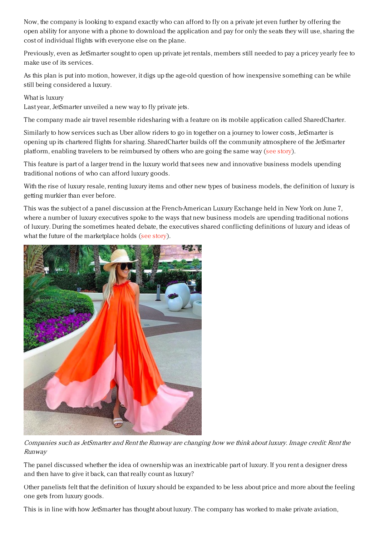Now, the company is looking to expand exactly who can afford to fly on a private jet even further by offering the open ability for anyone with a phone to download the application and pay for only the seats they will use, sharing the cost of individual flights with everyone else on the plane.

Previously, even as JetSmarter sought to open up private jet rentals, members still needed to pay a pricey yearly fee to make use of its services.

As this plan is put into motion, however, it digs up the age-old question of how inexpensive something can be while still being considered a luxury.

What is luxury

Last year, JetSmarter unveiled a new way to fly private jets.

The company made air travel resemble ridesharing with a feature on its mobile application called SharedCharter.

Similarly to how services such as Uber allow riders to go in together on a journey to lower costs, JetSmarter is opening up its chartered flights for sharing. SharedCharter builds off the community atmosphere of the JetSmarter platform, enabling travelers to be reimbursed by others who are going the same way (see [story](https://www.luxurydaily.com/jetsmarter-makes-private-air-travel-more-accessible-via-plane-pooling/)).

This feature is part of a larger trend in the luxury world that sees new and innovative business models upending traditional notions of who can afford luxury goods.

With the rise of luxury resale, renting luxury items and other new types of business models, the definition of luxury is getting murkier than ever before.

This was the subject of a panel discussion at the French-American Luxury Exchange held in New York on June 7, where a number of luxury executives spoke to the ways that new business models are upending traditional notions of luxury. During the sometimes heated debate, the executives shared conflicting definitions of luxury and ideas of what the future of the marketplace holds (see [story](https://www.luxurydaily.com/renting-consigning-represent-the-new-normal-for-luxury-purchases/)).



Companies such as JetSmarter and Rent the Runway are changing how we think about luxury. Image credit: Rent the Runway

The panel discussed whether the idea of ownership was an inextricable part of luxury. If you rent a designer dress and then have to give it back, can that really count as luxury?

Other panelists felt that the definition of luxury should be expanded to be less about price and more about the feeling one gets from luxury goods.

This is in line with how JetSmarter has thought about luxury. The company has worked to make private aviation,